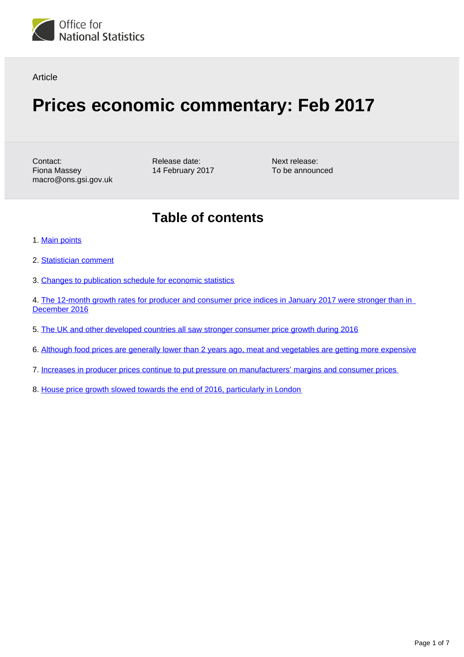

#### **Article**

# **Prices economic commentary: Feb 2017**

Contact: Fiona Massey macro@ons.gsi.gov.uk Release date: 14 February 2017

Next release: To be announced

## **Table of contents**

- 1. [Main points](#page-1-0)
- 2. [Statistician comment](#page-1-1)
- 3. [Changes to publication schedule for economic statistics](#page-1-2)
- 4. The 12-month growth rates for producer and consumer price indices in January 2017 were stronger than in [December 2016](#page-2-0)
- 5. [The UK and other developed countries all saw stronger consumer price growth during 2016](#page-2-1)
- 6. [Although food prices are generally lower than 2 years ago, meat and vegetables are getting more expensive](#page-3-0)
- 7. [Increases in producer prices continue to put pressure on manufacturers' margins and consumer prices](#page-4-0)
- 8. [House price growth slowed towards the end of 2016, particularly in London](#page-5-0)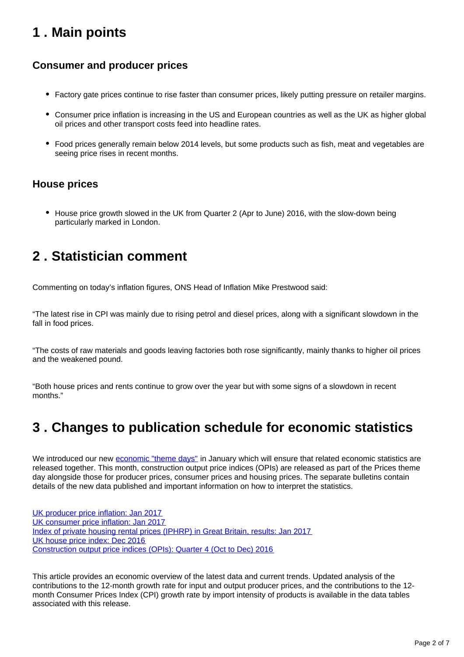## <span id="page-1-0"></span>**1 . Main points**

### **Consumer and producer prices**

- Factory gate prices continue to rise faster than consumer prices, likely putting pressure on retailer margins.
- Consumer price inflation is increasing in the US and European countries as well as the UK as higher global oil prices and other transport costs feed into headline rates.
- Food prices generally remain below 2014 levels, but some products such as fish, meat and vegetables are seeing price rises in recent months.

### **House prices**

House price growth slowed in the UK from Quarter 2 (Apr to June) 2016, with the slow-down being particularly marked in London.

## <span id="page-1-1"></span>**2 . Statistician comment**

Commenting on today's inflation figures, ONS Head of Inflation Mike Prestwood said:

"The latest rise in CPI was mainly due to rising petrol and diesel prices, along with a significant slowdown in the fall in food prices.

"The costs of raw materials and goods leaving factories both rose significantly, mainly thanks to higher oil prices and the weakened pound.

"Both house prices and rents continue to grow over the year but with some signs of a slowdown in recent months."

## <span id="page-1-2"></span>**3 . Changes to publication schedule for economic statistics**

We introduced our new [economic "theme days"](https://www.ons.gov.uk/news/news/operationalnotechangestopublicationscheduleforeconomicstatistics) in January which will ensure that related economic statistics are released together. This month, construction output price indices (OPIs) are released as part of the Prices theme day alongside those for producer prices, consumer prices and housing prices. The separate bulletins contain details of the new data published and important information on how to interpret the statistics.

[UK producer price inflation: Jan 2017](https://www.ons.gov.uk/releases/ukproducerpriceinflationjan2017) [UK consumer price inflation: Jan 2017](https://www.ons.gov.uk/releases/ukconsumerpriceindicesjan2017) [Index of private housing rental prices \(IPHRP\) in Great Britain, results: Jan 2017](https://www.ons.gov.uk/releases/indexofprivatehousingrentalpricesiphrpingreatbritainjan2017) [UK house price index: Dec 2016](https://www.ons.gov.uk/releases/ukhousepriceindexdec2016) [Construction output price indices \(OPIs\): Quarter 4 \(Oct to Dec\) 2016](https://www.ons.gov.uk/releases/interimsolutionforconstructionoutputpriceindicesopisquarter1jantomar2017)

This article provides an economic overview of the latest data and current trends. Updated analysis of the contributions to the 12-month growth rate for input and output producer prices, and the contributions to the 12 month Consumer Prices Index (CPI) growth rate by import intensity of products is available in the data tables associated with this release.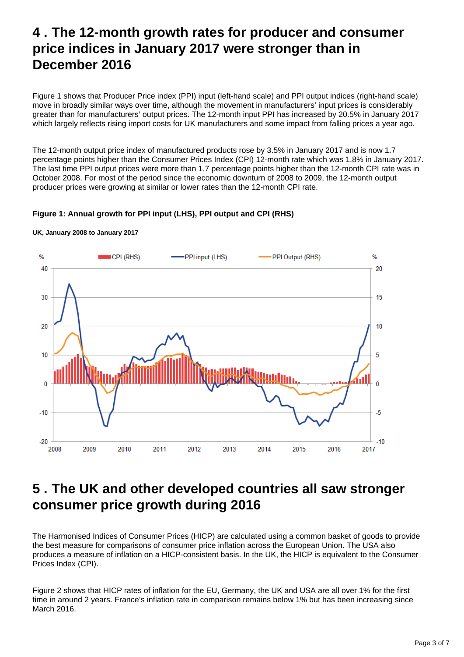## <span id="page-2-0"></span>**4 . The 12-month growth rates for producer and consumer price indices in January 2017 were stronger than in December 2016**

Figure 1 shows that Producer Price index (PPI) input (left-hand scale) and PPI output indices (right-hand scale) move in broadly similar ways over time, although the movement in manufacturers' input prices is considerably greater than for manufacturers' output prices. The 12-month input PPI has increased by 20.5% in January 2017 which largely reflects rising import costs for UK manufacturers and some impact from falling prices a year ago.

The 12-month output price index of manufactured products rose by 3.5% in January 2017 and is now 1.7 percentage points higher than the Consumer Prices Index (CPI) 12-month rate which was 1.8% in January 2017. The last time PPI output prices were more than 1.7 percentage points higher than the 12-month CPI rate was in October 2008. For most of the period since the economic downturn of 2008 to 2009, the 12-month output producer prices were growing at similar or lower rates than the 12-month CPI rate.

#### **Figure 1: Annual growth for PPI input (LHS), PPI output and CPI (RHS)**



#### **UK, January 2008 to January 2017**

### <span id="page-2-1"></span>**5 . The UK and other developed countries all saw stronger consumer price growth during 2016**

The Harmonised Indices of Consumer Prices (HICP) are calculated using a common basket of goods to provide the best measure for comparisons of consumer price inflation across the European Union. The USA also produces a measure of inflation on a HICP-consistent basis. In the UK, the HICP is equivalent to the Consumer Prices Index (CPI).

Figure 2 shows that HICP rates of inflation for the EU, Germany, the UK and USA are all over 1% for the first time in around 2 years. France's inflation rate in comparison remains below 1% but has been increasing since March 2016.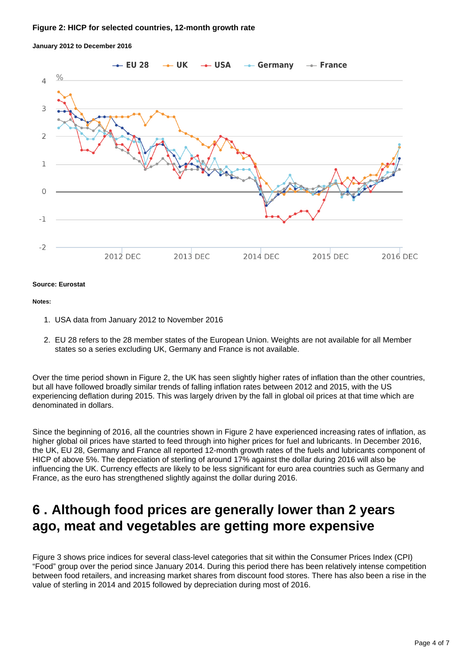#### **Figure 2: HICP for selected countries, 12-month growth rate**



**January 2012 to December 2016**

#### **Source: Eurostat**

#### **Notes:**

- 1. USA data from January 2012 to November 2016
- 2. EU 28 refers to the 28 member states of the European Union. Weights are not available for all Member states so a series excluding UK, Germany and France is not available.

Over the time period shown in Figure 2, the UK has seen slightly higher rates of inflation than the other countries, but all have followed broadly similar trends of falling inflation rates between 2012 and 2015, with the US experiencing deflation during 2015. This was largely driven by the fall in global oil prices at that time which are denominated in dollars.

Since the beginning of 2016, all the countries shown in Figure 2 have experienced increasing rates of inflation, as higher global oil prices have started to feed through into higher prices for fuel and lubricants. In December 2016, the UK, EU 28, Germany and France all reported 12-month growth rates of the fuels and lubricants component of HICP of above 5%. The depreciation of sterling of around 17% against the dollar during 2016 will also be influencing the UK. Currency effects are likely to be less significant for euro area countries such as Germany and France, as the euro has strengthened slightly against the dollar during 2016.

### <span id="page-3-0"></span>**6 . Although food prices are generally lower than 2 years ago, meat and vegetables are getting more expensive**

Figure 3 shows price indices for several class-level categories that sit within the Consumer Prices Index (CPI) "Food" group over the period since January 2014. During this period there has been relatively intense competition between food retailers, and increasing market shares from discount food stores. There has also been a rise in the value of sterling in 2014 and 2015 followed by depreciation during most of 2016.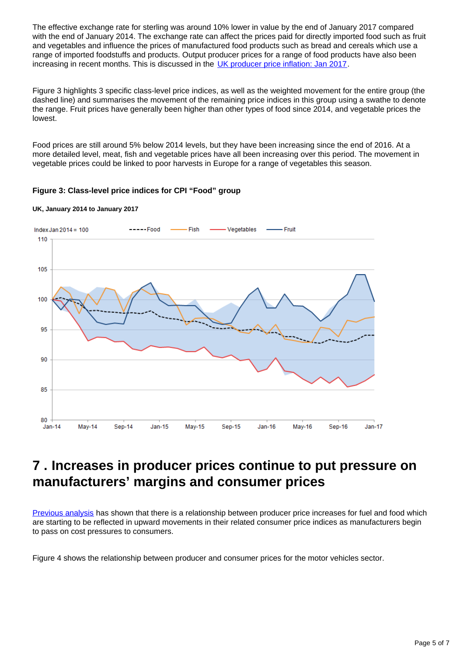The effective exchange rate for sterling was around 10% lower in value by the end of January 2017 compared with the end of January 2014. The exchange rate can affect the prices paid for directly imported food such as fruit and vegetables and influence the prices of manufactured food products such as bread and cereals which use a range of imported foodstuffs and products. Output producer prices for a range of food products have also been increasing in recent months. This is discussed in the [UK producer price inflation: Jan 2017.](https://www.ons.gov.uk/releases/ukproducerpriceinflationjan2017)

Figure 3 highlights 3 specific class-level price indices, as well as the weighted movement for the entire group (the dashed line) and summarises the movement of the remaining price indices in this group using a swathe to denote the range. Fruit prices have generally been higher than other types of food since 2014, and vegetable prices the lowest.

Food prices are still around 5% below 2014 levels, but they have been increasing since the end of 2016. At a more detailed level, meat, fish and vegetable prices have all been increasing over this period. The movement in vegetable prices could be linked to poor harvests in Europe for a range of vegetables this season.

#### **Figure 3: Class-level price indices for CPI "Food" group**



**UK, January 2014 to January 2017**

## <span id="page-4-0"></span>**7 . Increases in producer prices continue to put pressure on manufacturers' margins and consumer prices**

[Previous analysis](https://www.ons.gov.uk/economy/inflationandpriceindices/articles/priceseconomiccommentary/jan2017#increased-producer-prices-have-started-to-feed-into-higher-prices-for-consumers-in-some-areas) has shown that there is a relationship between producer price increases for fuel and food which are starting to be reflected in upward movements in their related consumer price indices as manufacturers begin to pass on cost pressures to consumers.

Figure 4 shows the relationship between producer and consumer prices for the motor vehicles sector.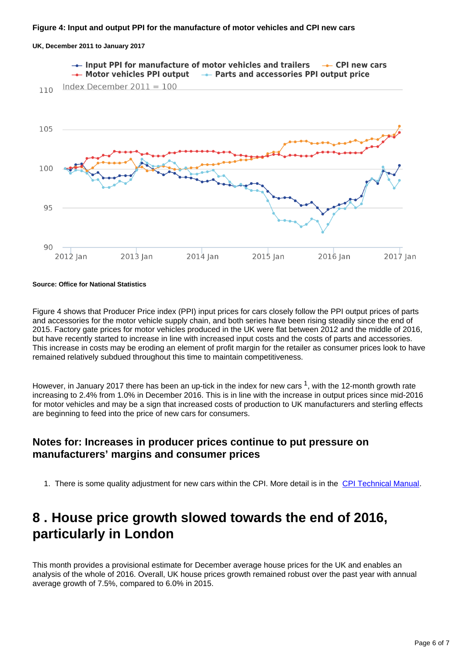

**UK, December 2011 to January 2017**

**Source: Office for National Statistics**

Figure 4 shows that Producer Price index (PPI) input prices for cars closely follow the PPI output prices of parts and accessories for the motor vehicle supply chain, and both series have been rising steadily since the end of 2015. Factory gate prices for motor vehicles produced in the UK were flat between 2012 and the middle of 2016, but have recently started to increase in line with increased input costs and the costs of parts and accessories. This increase in costs may be eroding an element of profit margin for the retailer as consumer prices look to have remained relatively subdued throughout this time to maintain competitiveness.

However, in January 2017 there has been an up-tick in the index for new cars  $1$ , with the 12-month growth rate increasing to 2.4% from 1.0% in December 2016. This is in line with the increase in output prices since mid-2016 for motor vehicles and may be a sign that increased costs of production to UK manufacturers and sterling effects are beginning to feed into the price of new cars for consumers.

#### **Notes for: Increases in producer prices continue to put pressure on manufacturers' margins and consumer prices**

1. There is some quality adjustment for new cars within the CPI. More detail is in the [CPI Technical Manual](http://www.ons.gov.uk/ons/guide-method/user-guidance/prices/cpi-and-rpi/cpi-technical-manual/consumer-price-indices-technical-manual--2014.pdf).

### <span id="page-5-0"></span>**8 . House price growth slowed towards the end of 2016, particularly in London**

This month provides a provisional estimate for December average house prices for the UK and enables an analysis of the whole of 2016. Overall, UK house prices growth remained robust over the past year with annual average growth of 7.5%, compared to 6.0% in 2015.